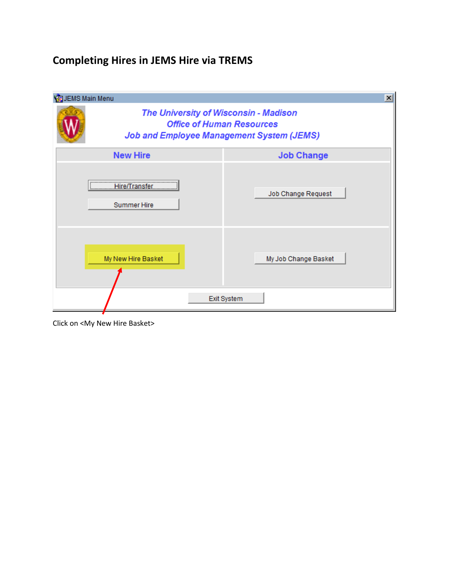## **Completing Hires in JEMS Hire via TREMS**

| <b>B</b> JEMS Main Menu | $\vert x \vert$                                                                                                               |
|-------------------------|-------------------------------------------------------------------------------------------------------------------------------|
|                         | The University of Wisconsin - Madison<br><b>Office of Human Resources</b><br><b>Job and Employee Management System (JEMS)</b> |
| <b>New Hire</b>         | <b>Job Change</b>                                                                                                             |
| <b>Summer Hire</b>      | Job Change Request                                                                                                            |
| My New Hire Basket      | My Job Change Basket<br>Exit System                                                                                           |

Click on <My New Hire Basket>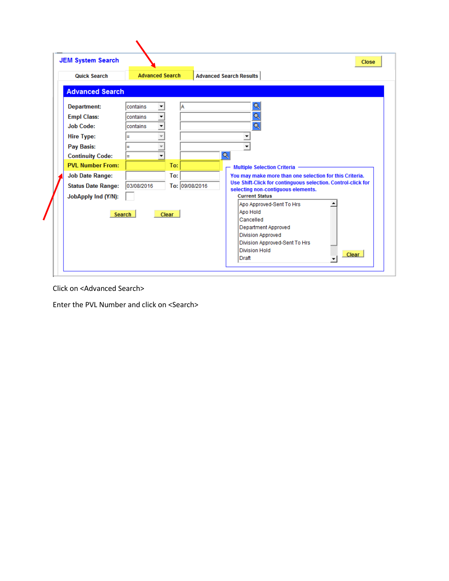| <b>JEM System Search</b>                                                                                                                                                                                                                             |                                                                    |                                              | <b>Close</b>                                                                                                                                                                                                                                                                                                                                                                                            |
|------------------------------------------------------------------------------------------------------------------------------------------------------------------------------------------------------------------------------------------------------|--------------------------------------------------------------------|----------------------------------------------|---------------------------------------------------------------------------------------------------------------------------------------------------------------------------------------------------------------------------------------------------------------------------------------------------------------------------------------------------------------------------------------------------------|
| <b>Quick Search</b>                                                                                                                                                                                                                                  | <b>Advanced Search</b>                                             |                                              | <b>Advanced Search Results</b>                                                                                                                                                                                                                                                                                                                                                                          |
| <b>Advanced Search</b>                                                                                                                                                                                                                               |                                                                    |                                              |                                                                                                                                                                                                                                                                                                                                                                                                         |
| <b>Department:</b><br><b>Empl Class:</b><br><b>Job Code:</b><br><b>Hire Type:</b><br><b>Pay Basis:</b><br><b>Continuity Code:</b><br><b>PVL Number From:</b><br><b>Job Date Range:</b><br><b>Status Date Range:</b><br>JobApply Ind (Y/N):<br>Search | contains<br>contains<br>contains<br>Ξ<br>Ξ<br>н<br>▼<br>03/08/2016 | To:<br>To:<br>To: 09/08/2016<br><b>Clear</b> | Q<br>Q<br><b>Multiple Selection Criteria</b><br>You may make more than one selection for this Criteria.<br>Use Shift-Click for continguous selection. Control-click for<br>selecting non-contiguous elements.<br><b>Current Status</b><br>Apo Approved-Sent To Hrs<br>Apo Hold<br>Cancelled<br>Department Approved<br><b>Division Approved</b><br>Division Approved-Sent To Hrs<br><b>Division Hold</b> |

Click on <Advanced Search>

Enter the PVL Number and click on <Search>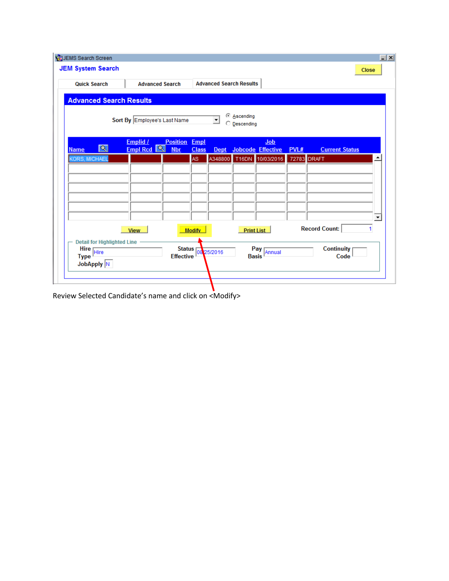| <b>Quick Search</b>                                              |                                   | <b>Advanced Search</b> |                                    |               | <b>Advanced Search Results</b> |                           |                                 |             |                           |                      |
|------------------------------------------------------------------|-----------------------------------|------------------------|------------------------------------|---------------|--------------------------------|---------------------------|---------------------------------|-------------|---------------------------|----------------------|
| <b>Advanced Search Results</b>                                   |                                   |                        |                                    |               |                                |                           |                                 |             |                           |                      |
|                                                                  | Sort By Employee's Last Name      |                        |                                    |               | ⊛<br>$\blacktriangledown$      | Ascending<br>O Descending |                                 |             |                           |                      |
| $ \mathbf{Q} $<br><b>Name</b>                                    | Emplid /<br>Empl Rcd <sup>Q</sup> |                        | <b>Position Empl</b><br><b>Nbr</b> | <b>Class</b>  | <b>Dept</b>                    |                           | Job<br><b>Jobcode Effective</b> | PVL#        | <b>Current Status</b>     |                      |
| <b>CORS, MICHAEL</b>                                             |                                   |                        |                                    | AS.           | A348800                        |                           | T16DN 10/03/2016                | 72783 DRAFT |                           |                      |
|                                                                  |                                   |                        |                                    |               |                                |                           |                                 |             |                           |                      |
|                                                                  |                                   |                        |                                    |               |                                |                           |                                 |             |                           |                      |
|                                                                  |                                   |                        |                                    |               |                                |                           |                                 |             |                           |                      |
|                                                                  |                                   |                        |                                    |               |                                |                           |                                 |             |                           | $\blacktriangledown$ |
|                                                                  | <b>View</b>                       |                        |                                    | <b>Modify</b> |                                |                           | <b>Print List</b>               |             | <b>Record Count:</b>      | 1                    |
| <b>Detail for Highlighted Line</b><br>Hire<br>Type<br>JobApply N |                                   |                        | <b>Effective</b>                   |               | Status 08 25/2016              |                           | Pay<br>Basis<br>Annual          |             | <b>Continuity</b><br>Code |                      |

Review Selected Candidate's name and click on <Modify>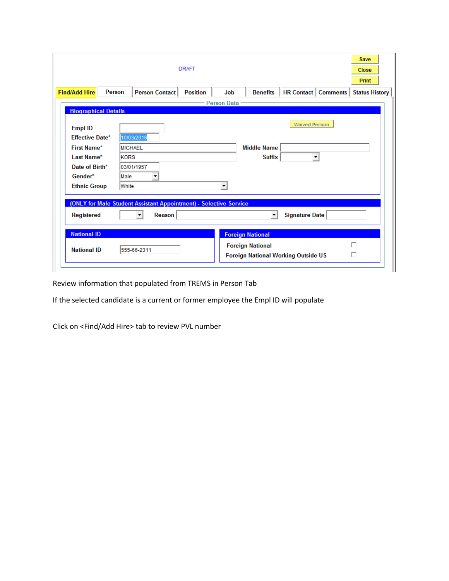|                                | <b>DRAFT</b>                                                      | Save<br><b>Close</b><br><b>Print</b>                                                                 |
|--------------------------------|-------------------------------------------------------------------|------------------------------------------------------------------------------------------------------|
| <b>Find/Add Hire</b><br>Person | <b>Person Contact</b>                                             | <b>HR Contact   Comments  </b><br><b>Position</b><br>Job<br><b>Benefits</b><br><b>Status History</b> |
|                                |                                                                   | - Person Data                                                                                        |
| <b>Biographical Details</b>    |                                                                   |                                                                                                      |
| <b>Empl ID</b>                 |                                                                   | <b>Waived Person</b>                                                                                 |
| <b>Effective Date*</b>         | 10/03/2016                                                        |                                                                                                      |
| <b>First Name*</b>             | <b>MICHAEL</b>                                                    | <b>Middle Name</b>                                                                                   |
| Last Name*                     | <b>KORS</b>                                                       | <b>Suffix</b>                                                                                        |
| Date of Birth*                 | 03/01/1957                                                        |                                                                                                      |
| Gender*                        | lMale<br>$\blacktriangledown$                                     |                                                                                                      |
| <b>Ethnic Group</b>            | <b>White</b>                                                      | $\blacktriangledown$                                                                                 |
|                                |                                                                   |                                                                                                      |
|                                | (ONLY for Male Student Assistant Appointment) - Selective Service |                                                                                                      |
| <b>Registered</b>              | Reason                                                            | Signature Date                                                                                       |
| <b>National ID</b>             |                                                                   | <b>Foreign National</b>                                                                              |
|                                |                                                                   | п<br><b>Foreign National</b>                                                                         |
| <b>National ID</b>             | 555-66-2311                                                       | п<br><b>Foreign National Working Outside US</b>                                                      |
|                                |                                                                   |                                                                                                      |

Review information that populated from TREMS in Person Tab

If the selected candidate is a current or former employee the Empl ID will populate

Click on <Find/Add Hire> tab to review PVL number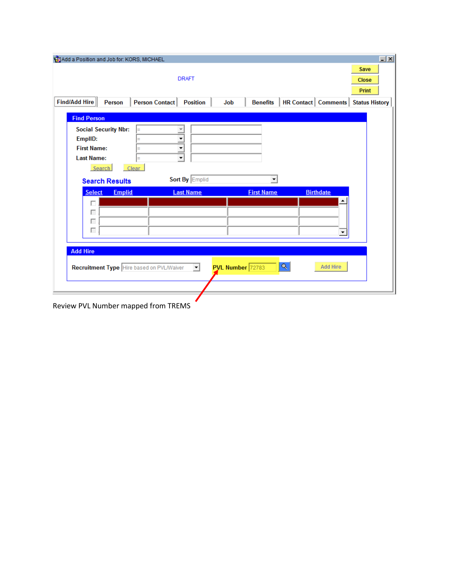| Add a Position and Job for: KORS, MICHAEL                                                            |                                                                |                        |                                | $- x $                               |
|------------------------------------------------------------------------------------------------------|----------------------------------------------------------------|------------------------|--------------------------------|--------------------------------------|
|                                                                                                      | <b>DRAFT</b>                                                   |                        |                                | Save<br><b>Close</b><br><b>Print</b> |
| <b>Find/Add Hire</b><br><b>Person</b>                                                                | Person Contact<br><b>Position</b><br>Job                       | <b>Benefits</b>        | <b>HR Contact   Comments  </b> | <b>Status History</b>                |
| <b>Find Person</b>                                                                                   |                                                                |                        |                                |                                      |
| <b>Social Security Nbr:</b><br>EmplID:<br><b>First Name:</b><br><b>Last Name:</b><br>Clear<br>Search | ▼<br>▼<br>$\overline{\phantom{a}}$<br>$\overline{\phantom{a}}$ |                        |                                |                                      |
| <b>Search Results</b>                                                                                | Sort By Emplid                                                 | ▾                      |                                |                                      |
| <b>Select</b><br><b>Emplid</b>                                                                       | <b>Last Name</b>                                               | <b>First Name</b>      | <b>Birthdate</b>               |                                      |
| г<br>г<br>г<br>Г                                                                                     |                                                                |                        | ▲<br>$\blacktriangledown$      |                                      |
| <b>Add Hire</b><br>Recruitment Type Hire based on PVL/Waiver                                         | $\overline{\phantom{a}}$                                       | Q.<br>PVL Number 72783 | <b>Add Hire</b>                |                                      |

Review PVL Number mapped from TREMS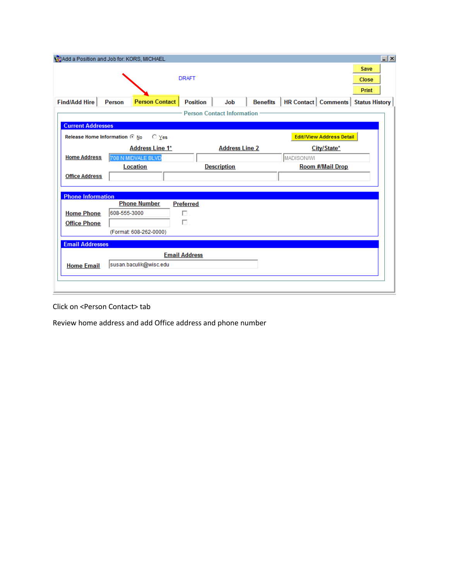|                                               | Add a Position and Job for: KORS, MICHAEL       |                       |                                   |                                  | $\Box$ $\times$                      |
|-----------------------------------------------|-------------------------------------------------|-----------------------|-----------------------------------|----------------------------------|--------------------------------------|
|                                               |                                                 | <b>DRAFT</b>          |                                   |                                  | Save<br><b>Close</b><br><b>Print</b> |
| <b>Find/Add Hire</b>                          | <b>Person Contact</b><br><b>Person</b>          | <b>Position</b>       | Job<br><b>Benefits</b>            | <b>HR Contact   Comments  </b>   | <b>Status History</b>                |
|                                               |                                                 |                       | <b>Person Contact Information</b> |                                  |                                      |
| <b>Current Addresses</b>                      |                                                 |                       |                                   |                                  |                                      |
|                                               | Release Home Information @ No<br>$\bigcirc$ Yes |                       |                                   | <b>Edit//View Address Detail</b> |                                      |
| <b>Home Address</b>                           | <b>Address Line 1*</b><br>708 N MIDVALE BLVD    |                       | <b>Address Line 2</b>             | City/State*<br>MADISON/WI        |                                      |
|                                               | <b>Location</b>                                 |                       | <b>Description</b>                | <b>Room #/Mail Drop</b>          |                                      |
| <b>Office Address</b>                         |                                                 |                       |                                   |                                  |                                      |
| <b>Phone Information</b><br><b>Home Phone</b> | <b>Phone Number</b><br>608-555-3000             | <b>Preferred</b><br>П |                                   |                                  |                                      |
| <b>Office Phone</b>                           | (Format: 608-262-0000)                          | П.                    |                                   |                                  |                                      |
| <b>Email Addresses</b>                        |                                                 |                       |                                   |                                  |                                      |
| <b>Home Email</b>                             | susan.baculik@wisc.edu                          | <b>Email Address</b>  |                                   |                                  |                                      |
|                                               |                                                 |                       |                                   |                                  |                                      |

Click on <Person Contact> tab

Review home address and add Office address and phone number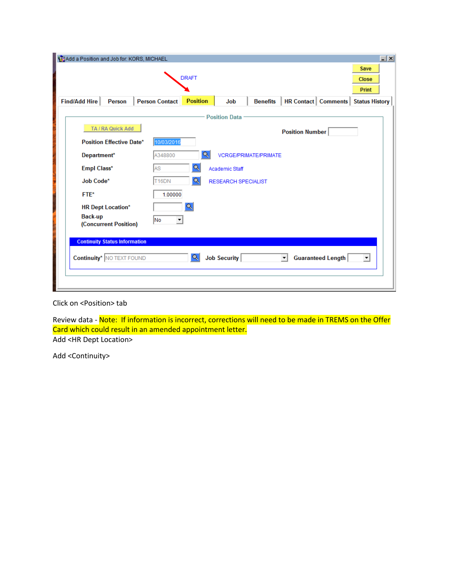| Add a Position and Job for: KORS, MICHAEL            |                       |                 |                            |                              |                                                         | $\boxed{-}$ $\boxed{\times}$ |  |
|------------------------------------------------------|-----------------------|-----------------|----------------------------|------------------------------|---------------------------------------------------------|------------------------------|--|
| Save<br><b>DRAFT</b><br><b>Close</b><br><b>Print</b> |                       |                 |                            |                              |                                                         |                              |  |
| Find/Add Hire<br>Person                              | <b>Person Contact</b> | <b>Position</b> | Job                        | <b>Benefits</b>              | <b>HR Contact   Comments  </b><br><b>Status History</b> |                              |  |
|                                                      |                       |                 | <b>Position Data</b>       |                              |                                                         |                              |  |
| TA / RA Quick Add                                    |                       |                 |                            |                              | <b>Position Number</b>                                  |                              |  |
| <b>Position Effective Date*</b>                      | 10/03/2016            |                 |                            |                              |                                                         |                              |  |
| Department*                                          | A348800               |                 |                            | <b>VCRGE/PRIMATE/PRIMATE</b> |                                                         |                              |  |
| Empl Class*                                          | AS                    |                 | Academic Staff             |                              |                                                         |                              |  |
| Job Code*                                            | T <sub>16</sub> DN    | Q               | <b>RESEARCH SPECIALIST</b> |                              |                                                         |                              |  |
| FTE*                                                 | 1.00000               |                 |                            |                              |                                                         |                              |  |
| <b>HR Dept Location*</b>                             |                       | Q               |                            |                              |                                                         |                              |  |
| Back-up<br>(Concurrent Position)                     | No                    |                 |                            |                              |                                                         |                              |  |
| <b>Continuity Status Information</b>                 |                       |                 |                            |                              |                                                         |                              |  |
| <b>Continuity*</b> NO TEXT FOUND                     |                       | $ \mathsf{Q} $  | Job Security               |                              | <b>Guaranteed Length</b><br>$\vert$<br>▾                |                              |  |
|                                                      |                       |                 |                            |                              |                                                         |                              |  |

## Click on <Position> tab

Review data - Note: If information is incorrect, corrections will need to be made in TREMS on the Offer Card which could result in an amended appointment letter.

Add <HR Dept Location>

Add <Continuity>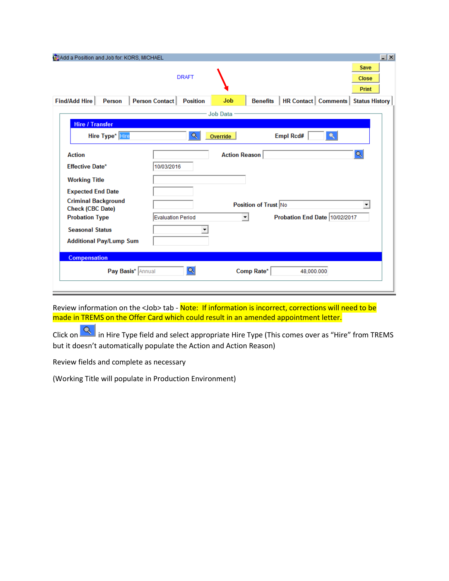| Add a Position and Job for: KORS, MICHAEL      |                                   |                      |                      |                                | $\Box$ $\times$                      |
|------------------------------------------------|-----------------------------------|----------------------|----------------------|--------------------------------|--------------------------------------|
|                                                | <b>DRAFT</b>                      |                      |                      |                                | Save<br><b>Close</b><br><b>Print</b> |
| <b>Find/Add Hire</b><br>Person                 | Person Contact<br><b>Position</b> | <b>Job</b>           | <b>Benefits</b>      | <b>HR Contact   Comments  </b> | <b>Status History</b>                |
|                                                |                                   | <b>Job Data</b>      |                      |                                |                                      |
| <b>Hire / Transfer</b>                         |                                   |                      |                      |                                |                                      |
| <b>Hire Type*</b> Hire                         | Q                                 | Override             |                      | <b>Empl Rcd#</b>               |                                      |
| <b>Action</b>                                  |                                   | <b>Action Reason</b> |                      |                                | Q                                    |
| <b>Effective Date*</b>                         | 10/03/2016                        |                      |                      |                                |                                      |
| <b>Working Title</b>                           |                                   |                      |                      |                                |                                      |
| <b>Expected End Date</b>                       |                                   |                      |                      |                                |                                      |
| <b>Criminal Background</b><br>Check (CBC Date) |                                   |                      | Position of Trust No |                                | ▼                                    |
| <b>Probation Type</b>                          | <b>Evaluation Period</b>          |                      |                      | Probation End Date 10/02/2017  |                                      |
| <b>Seasonal Status</b>                         |                                   |                      |                      |                                |                                      |
| <b>Additional Pay/Lump Sum</b>                 |                                   |                      |                      |                                |                                      |
| <b>Compensation</b>                            |                                   |                      |                      |                                |                                      |
| Pay Basis* Annual                              | Q                                 |                      | Comp Rate*           | 48,000.000                     |                                      |
|                                                |                                   |                      |                      |                                |                                      |

Review information on the <Job> tab - Note: If information is incorrect, corrections will need to be made in TREMS on the Offer Card which could result in an amended appointment letter.

Click on  $\frac{Q}{\sqrt{Q}}$  in Hire Type field and select appropriate Hire Type (This comes over as "Hire" from TREMS but it doesn't automatically populate the Action and Action Reason)

Review fields and complete as necessary

(Working Title will populate in Production Environment)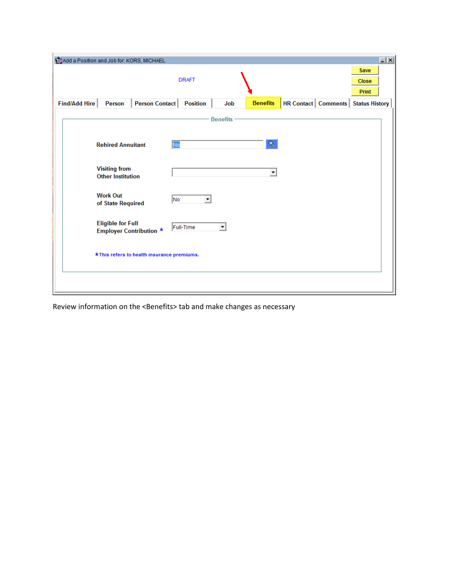| Add a Position and Job for: KORS, MICHAEL                  |                                           | $\boxed{\mathbf{x}}$                          |  |  |  |  |  |  |  |
|------------------------------------------------------------|-------------------------------------------|-----------------------------------------------|--|--|--|--|--|--|--|
|                                                            | <b>DRAFT</b>                              | Save<br><b>Close</b><br>Print                 |  |  |  |  |  |  |  |
| Person Contact<br>Find/Add Hire<br>Person                  | <b>Benefits</b><br><b>Position</b><br>Job | <b>HR Contact   Comments   Status History</b> |  |  |  |  |  |  |  |
| <b>Benefits</b>                                            |                                           |                                               |  |  |  |  |  |  |  |
| <b>Rehired Annuitant</b>                                   | Q<br>No                                   |                                               |  |  |  |  |  |  |  |
| <b>Visiting from</b><br><b>Other Institution</b>           | $\blacktriangledown$                      |                                               |  |  |  |  |  |  |  |
| <b>Work Out</b><br>of State Required                       | No<br>$\overline{\phantom{a}}$            |                                               |  |  |  |  |  |  |  |
| <b>Eligible for Full</b><br><b>Employer Contribution *</b> | Full-Time<br>$\blacktriangledown$         |                                               |  |  |  |  |  |  |  |
| *This refers to health insurance premiums.                 |                                           |                                               |  |  |  |  |  |  |  |
|                                                            |                                           |                                               |  |  |  |  |  |  |  |

Review information on the <Benefits> tab and make changes as necessary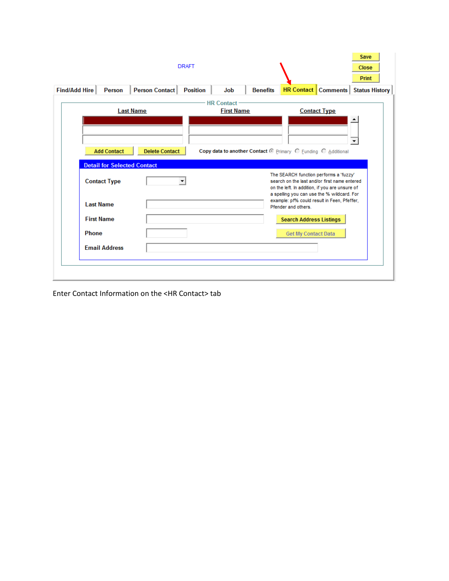| <b>Find/Add Hire</b> |                                    |                       |                 |                   |                 |                                                                                                                                                                                        |                     | <b>Close</b><br><b>Print</b> |
|----------------------|------------------------------------|-----------------------|-----------------|-------------------|-----------------|----------------------------------------------------------------------------------------------------------------------------------------------------------------------------------------|---------------------|------------------------------|
|                      | Person                             | Person Contact        | <b>Position</b> | Job               | <b>Benefits</b> | <b>HR Contact   Comments  </b>                                                                                                                                                         |                     | <b>Status History</b>        |
|                      |                                    |                       |                 | <b>HR Contact</b> |                 |                                                                                                                                                                                        |                     |                              |
|                      | <b>Last Name</b>                   |                       |                 | <b>First Name</b> |                 |                                                                                                                                                                                        | <b>Contact Type</b> |                              |
|                      |                                    |                       |                 |                   |                 |                                                                                                                                                                                        |                     |                              |
|                      |                                    |                       |                 |                   |                 |                                                                                                                                                                                        |                     |                              |
|                      | <b>Add Contact</b>                 | <b>Delete Contact</b> |                 |                   |                 | Copy data to another Contact @ Primary C Funding C Additional                                                                                                                          |                     |                              |
|                      | <b>Detail for Selected Contact</b> |                       |                 |                   |                 |                                                                                                                                                                                        |                     |                              |
| <b>Contact Type</b>  |                                    |                       | ▼               |                   |                 | The SEARCH function performs a 'fuzzy'<br>search on the last and/or first name entered<br>on the left. In addition, if you are unsure of<br>a spelling you can use the % wildcard. For |                     |                              |
| <b>Last Name</b>     |                                    |                       |                 |                   |                 | example: pf% could result in Feen, Pfeffer,<br>Pfender and others.                                                                                                                     |                     |                              |
| <b>First Name</b>    |                                    |                       |                 |                   |                 | <b>Search Address Listings</b>                                                                                                                                                         |                     |                              |
| <b>Phone</b>         |                                    |                       |                 |                   |                 | <b>Get My Contact Data</b>                                                                                                                                                             |                     |                              |
|                      | <b>Email Address</b>               |                       |                 |                   |                 |                                                                                                                                                                                        |                     |                              |
|                      |                                    |                       |                 |                   |                 |                                                                                                                                                                                        |                     |                              |

Enter Contact Information on the <HR Contact> tab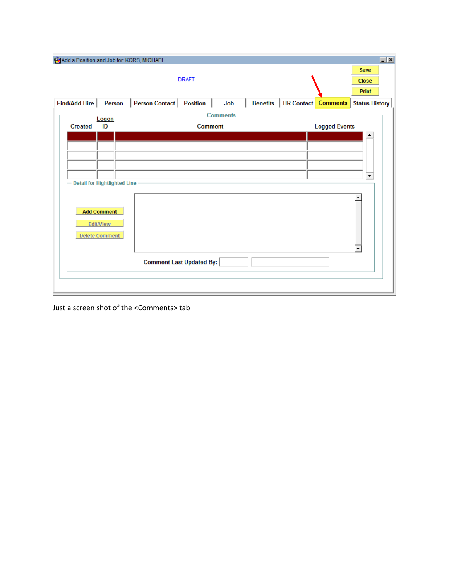| Add a Position and Job for: KORS, MICHAEL                       |                                                             | $\boxed{-}$ $\boxed{\times}$                                  |
|-----------------------------------------------------------------|-------------------------------------------------------------|---------------------------------------------------------------|
|                                                                 | <b>DRAFT</b>                                                | Save<br><b>Close</b><br><b>Print</b>                          |
| Find/Add Hire<br>Person                                         | Person Contact<br><b>Position</b><br>Job<br><b>Benefits</b> | <b>HR</b> Contact<br><b>Comments</b><br><b>Status History</b> |
| Logon                                                           | <b>Comments</b>                                             |                                                               |
| ID<br>Created                                                   | <b>Comment</b>                                              | <b>Logged Events</b>                                          |
|                                                                 |                                                             |                                                               |
|                                                                 |                                                             |                                                               |
|                                                                 |                                                             |                                                               |
| <b>Detail for Hightlighted Line</b>                             |                                                             | $\blacktriangledown$                                          |
| <b>Add Comment</b><br><b>Edit/View</b><br><b>Delete Comment</b> | <b>Comment Last Updated By:</b>                             |                                                               |
|                                                                 |                                                             |                                                               |
|                                                                 |                                                             |                                                               |

Just a screen shot of the <Comments> tab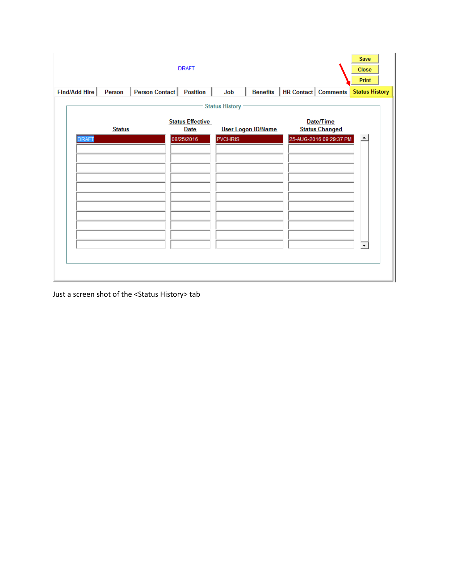|               |               |                | <b>DRAFT</b>                           |                       |                           |                            |                                    | Save<br><b>Close</b><br><b>Print</b> |  |
|---------------|---------------|----------------|----------------------------------------|-----------------------|---------------------------|----------------------------|------------------------------------|--------------------------------------|--|
| Find/Add Hire | Person        | Person Contact | <b>Position</b>                        | Job                   | <b>Benefits</b>           | <b>HR Contact Comments</b> |                                    | <b>Status History</b>                |  |
|               |               |                |                                        | <b>Status History</b> |                           |                            |                                    |                                      |  |
|               | <b>Status</b> |                | <b>Status Effective</b><br><b>Date</b> |                       | <b>User Logon ID/Name</b> |                            | Date/Time<br><b>Status Changed</b> |                                      |  |
| <b>DRAFT</b>  |               |                | 08/25/2016                             | <b>PVCHRIS</b>        |                           |                            | 25-AUG-2016 09:29:37 PM            |                                      |  |
|               |               |                |                                        |                       |                           |                            |                                    |                                      |  |
|               |               |                |                                        |                       |                           |                            |                                    |                                      |  |
|               |               |                |                                        |                       |                           |                            |                                    |                                      |  |
|               |               |                |                                        |                       |                           |                            |                                    |                                      |  |
|               |               |                |                                        |                       |                           |                            |                                    |                                      |  |
|               |               |                |                                        |                       |                           |                            |                                    |                                      |  |
|               |               |                |                                        |                       |                           |                            |                                    |                                      |  |

Just a screen shot of the <Status History> tab